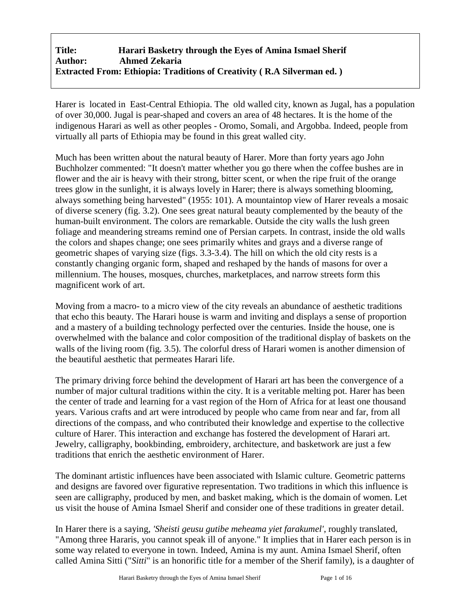## **Title: Harari Basketry through the Eyes of Amina Ismael Sherif Author: Ahmed Zekaria Extracted From: Ethiopia: Traditions of Creativity ( R.A Silverman ed. )**

Harer is located in East-Central Ethiopia. The old walled city, known as Jugal, has a population of over 30,000. Jugal is pear-shaped and covers an area of 48 hectares. It is the home of the indigenous Harari as well as other peoples - Oromo, Somali, and Argobba. Indeed, people from virtually all parts of Ethiopia may be found in this great walled city.

Much has been written about the natural beauty of Harer. More than forty years ago John Buchholzer commented: "It doesn't matter whether you go there when the coffee bushes are in flower and the air is heavy with their strong, bitter scent, or when the ripe fruit of the orange trees glow in the sunlight, it is always lovely in Harer; there is always something blooming, always something being harvested" (1955: 101). A mountaintop view of Harer reveals a mosaic of diverse scenery (fig. 3.2). One sees great natural beauty complemented by the beauty of the human-built environment. The colors are remarkable. Outside the city walls the lush green foliage and meandering streams remind one of Persian carpets. In contrast, inside the old walls the colors and shapes change; one sees primarily whites and grays and a diverse range of geometric shapes of varying size (figs. 3.3-3.4). The hill on which the old city rests is a constantly changing organic form, shaped and reshaped by the hands of masons for over a millennium. The houses, mosques, churches, marketplaces, and narrow streets form this magnificent work of art.

Moving from a macro- to a micro view of the city reveals an abundance of aesthetic traditions that echo this beauty. The Harari house is warm and inviting and displays a sense of proportion and a mastery of a building technology perfected over the centuries. Inside the house, one is overwhelmed with the balance and color composition of the traditional display of baskets on the walls of the living room (fig. 3.5). The colorful dress of Harari women is another dimension of the beautiful aesthetic that permeates Harari life.

The primary driving force behind the development of Harari art has been the convergence of a number of major cultural traditions within the city. It is a veritable melting pot. Harer has been the center of trade and learning for a vast region of the Horn of Africa for at least one thousand years. Various crafts and art were introduced by people who came from near and far, from all directions of the compass, and who contributed their knowledge and expertise to the collective culture of Harer. This interaction and exchange has fostered the development of Harari art. Jewelry, calligraphy, bookbinding, embroidery, architecture, and basketwork are just a few traditions that enrich the aesthetic environment of Harer.

The dominant artistic influences have been associated with Islamic culture. Geometric patterns and designs are favored over figurative representation. Two traditions in which this influence is seen are calligraphy, produced by men, and basket making, which is the domain of women. Let us visit the house of Amina Ismael Sherif and consider one of these traditions in greater detail.

In Harer there is a saying, *'Sheisti geusu gutibe meheama yiet farakumel'*, roughly translated, "Among three Hararis, you cannot speak ill of anyone." It implies that in Harer each person is in some way related to everyone in town. Indeed, Amina is my aunt. Amina Ismael Sherif, often called Amina Sitti ("*Sitti*" is an honorific title for a member of the Sherif family), is a daughter of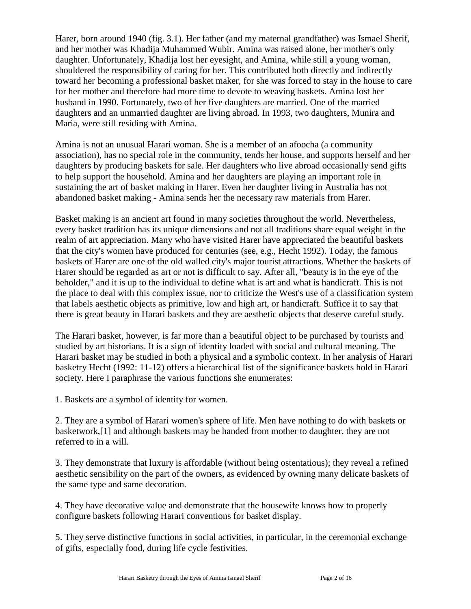Harer, born around 1940 (fig. 3.1). Her father (and my maternal grandfather) was Ismael Sherif, and her mother was Khadija Muhammed Wubir. Amina was raised alone, her mother's only daughter. Unfortunately, Khadija lost her eyesight, and Amina, while still a young woman, shouldered the responsibility of caring for her. This contributed both directly and indirectly toward her becoming a professional basket maker, for she was forced to stay in the house to care for her mother and therefore had more time to devote to weaving baskets. Amina lost her husband in 1990. Fortunately, two of her five daughters are married. One of the married daughters and an unmarried daughter are living abroad. In 1993, two daughters, Munira and Maria, were still residing with Amina.

Amina is not an unusual Harari woman. She is a member of an afoocha (a community association), has no special role in the community, tends her house, and supports herself and her daughters by producing baskets for sale. Her daughters who live abroad occasionally send gifts to help support the household. Amina and her daughters are playing an important role in sustaining the art of basket making in Harer. Even her daughter living in Australia has not abandoned basket making - Amina sends her the necessary raw materials from Harer.

Basket making is an ancient art found in many societies throughout the world. Nevertheless, every basket tradition has its unique dimensions and not all traditions share equal weight in the realm of art appreciation. Many who have visited Harer have appreciated the beautiful baskets that the city's women have produced for centuries (see, e.g., Hecht 1992). Today, the famous baskets of Harer are one of the old walled city's major tourist attractions. Whether the baskets of Harer should be regarded as art or not is difficult to say. After all, "beauty is in the eye of the beholder," and it is up to the individual to define what is art and what is handicraft. This is not the place to deal with this complex issue, nor to criticize the West's use of a classification system that labels aesthetic objects as primitive, low and high art, or handicraft. Suffice it to say that there is great beauty in Harari baskets and they are aesthetic objects that deserve careful study.

The Harari basket, however, is far more than a beautiful object to be purchased by tourists and studied by art historians. It is a sign of identity loaded with social and cultural meaning. The Harari basket may be studied in both a physical and a symbolic context. In her analysis of Harari basketry Hecht (1992: 11-12) offers a hierarchical list of the significance baskets hold in Harari society. Here I paraphrase the various functions she enumerates:

1. Baskets are a symbol of identity for women.

2. They are a symbol of Harari women's sphere of life. Men have nothing to do with baskets or basketwork,[1] and although baskets may be handed from mother to daughter, they are not referred to in a will.

3. They demonstrate that luxury is affordable (without being ostentatious); they reveal a refined aesthetic sensibility on the part of the owners, as evidenced by owning many delicate baskets of the same type and same decoration.

4. They have decorative value and demonstrate that the housewife knows how to properly configure baskets following Harari conventions for basket display.

5. They serve distinctive functions in social activities, in particular, in the ceremonial exchange of gifts, especially food, during life cycle festivities.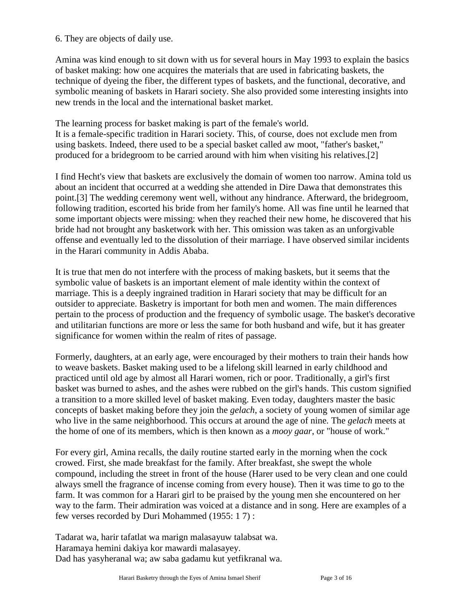6. They are objects of daily use.

Amina was kind enough to sit down with us for several hours in May 1993 to explain the basics of basket making: how one acquires the materials that are used in fabricating baskets, the technique of dyeing the fiber, the different types of baskets, and the functional, decorative, and symbolic meaning of baskets in Harari society. She also provided some interesting insights into new trends in the local and the international basket market.

The learning process for basket making is part of the female's world. It is a female-specific tradition in Harari society. This, of course, does not exclude men from using baskets. Indeed, there used to be a special basket called aw moot, "father's basket," produced for a bridegroom to be carried around with him when visiting his relatives.[2]

I find Hecht's view that baskets are exclusively the domain of women too narrow. Amina told us about an incident that occurred at a wedding she attended in Dire Dawa that demonstrates this point.[3] The wedding ceremony went well, without any hindrance. Afterward, the bridegroom, following tradition, escorted his bride from her family's home. All was fine until he learned that some important objects were missing: when they reached their new home, he discovered that his bride had not brought any basketwork with her. This omission was taken as an unforgivable offense and eventually led to the dissolution of their marriage. I have observed similar incidents in the Harari community in Addis Ababa.

It is true that men do not interfere with the process of making baskets, but it seems that the symbolic value of baskets is an important element of male identity within the context of marriage. This is a deeply ingrained tradition in Harari society that may be difficult for an outsider to appreciate. Basketry is important for both men and women. The main differences pertain to the process of production and the frequency of symbolic usage. The basket's decorative and utilitarian functions are more or less the same for both husband and wife, but it has greater significance for women within the realm of rites of passage.

Formerly, daughters, at an early age, were encouraged by their mothers to train their hands how to weave baskets. Basket making used to be a lifelong skill learned in early childhood and practiced until old age by almost all Harari women, rich or poor. Traditionally, a girl's first basket was burned to ashes, and the ashes were rubbed on the girl's hands. This custom signified a transition to a more skilled level of basket making. Even today, daughters master the basic concepts of basket making before they join the *gelach*, a society of young women of similar age who live in the same neighborhood. This occurs at around the age of nine. The *gelach* meets at the home of one of its members, which is then known as a *mooy gaar*, or "house of work."

For every girl, Amina recalls, the daily routine started early in the morning when the cock crowed. First, she made breakfast for the family. After breakfast, she swept the whole compound, including the street in front of the house (Harer used to be very clean and one could always smell the fragrance of incense coming from every house). Then it was time to go to the farm. It was common for a Harari girl to be praised by the young men she encountered on her way to the farm. Their admiration was voiced at a distance and in song. Here are examples of a few verses recorded by Duri Mohammed (1955: 1 7) :

Tadarat wa, harir tafatlat wa marign malasayuw talabsat wa. Haramaya hemini dakiya kor mawardi malasayey. Dad has yasyheranal wa; aw saba gadamu kut yetfikranal wa.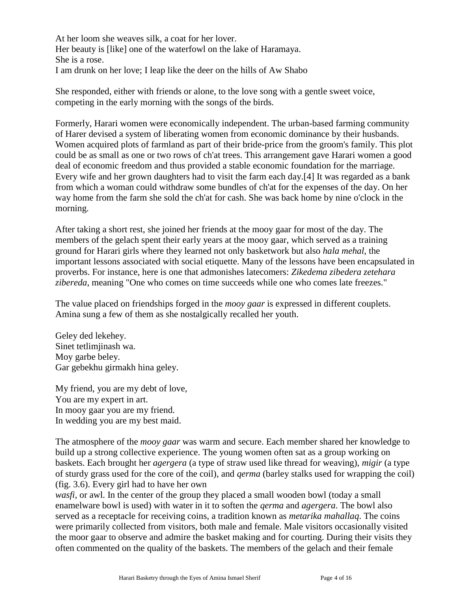At her loom she weaves silk, a coat for her lover. Her beauty is [like] one of the waterfowl on the lake of Haramaya. She is a rose. I am drunk on her love; I leap like the deer on the hills of Aw Shabo

She responded, either with friends or alone, to the love song with a gentle sweet voice, competing in the early morning with the songs of the birds.

Formerly, Harari women were economically independent. The urban-based farming community of Harer devised a system of liberating women from economic dominance by their husbands. Women acquired plots of farmland as part of their bride-price from the groom's family. This plot could be as small as one or two rows of ch'at trees. This arrangement gave Harari women a good deal of economic freedom and thus provided a stable economic foundation for the marriage. Every wife and her grown daughters had to visit the farm each day.[4] It was regarded as a bank from which a woman could withdraw some bundles of ch'at for the expenses of the day. On her way home from the farm she sold the ch'at for cash. She was back home by nine o'clock in the morning.

After taking a short rest, she joined her friends at the mooy gaar for most of the day. The members of the gelach spent their early years at the mooy gaar, which served as a training ground for Harari girls where they learned not only basketwork but also *hala mehal*, the important lessons associated with social etiquette. Many of the lessons have been encapsulated in proverbs. For instance, here is one that admonishes latecomers: *Zikedema zibedera zetehara zibereda*, meaning "One who comes on time succeeds while one who comes late freezes."

The value placed on friendships forged in the *mooy gaar* is expressed in different couplets. Amina sung a few of them as she nostalgically recalled her youth.

Geley ded lekehey. Sinet tetlimjinash wa. Moy garbe beley. Gar gebekhu girmakh hina geley.

My friend, you are my debt of love, You are my expert in art. In mooy gaar you are my friend. In wedding you are my best maid.

The atmosphere of the *mooy gaar* was warm and secure. Each member shared her knowledge to build up a strong collective experience. The young women often sat as a group working on baskets. Each brought her *agergera* (a type of straw used like thread for weaving), *migir* (a type of sturdy grass used for the core of the coil), and *qerma* (barley stalks used for wrapping the coil) (fig. 3.6). Every girl had to have her own

*wasfi,* or awl. In the center of the group they placed a small wooden bowl (today a small enamelware bowl is used) with water in it to soften the *qerma* and *agergera*. The bowl also served as a receptacle for receiving coins, a tradition known as *metarika mahallaq*. The coins were primarily collected from visitors, both male and female. Male visitors occasionally visited the moor gaar to observe and admire the basket making and for courting. During their visits they often commented on the quality of the baskets. The members of the gelach and their female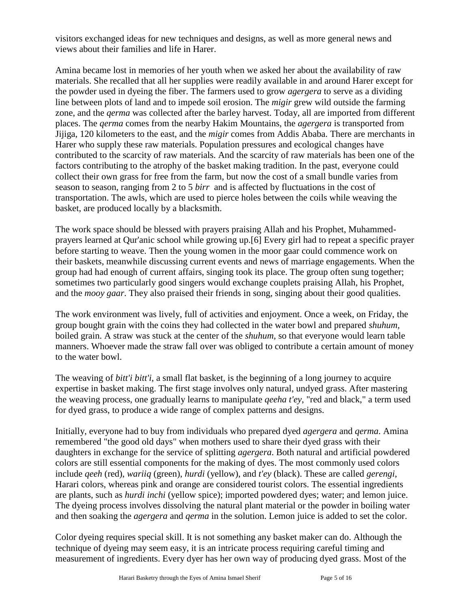visitors exchanged ideas for new techniques and designs, as well as more general news and views about their families and life in Harer.

Amina became lost in memories of her youth when we asked her about the availability of raw materials. She recalled that all her supplies were readily available in and around Harer except for the powder used in dyeing the fiber. The farmers used to grow *agergera* to serve as a dividing line between plots of land and to impede soil erosion. The *migir* grew wild outside the farming zone, and the *qerma* was collected after the barley harvest. Today, all are imported from different places. The *qerma* comes from the nearby Hakim Mountains, the *agergera* is transported from Jijiga, 120 kilometers to the east, and the *migir* comes from Addis Ababa. There are merchants in Harer who supply these raw materials. Population pressures and ecological changes have contributed to the scarcity of raw materials. And the scarcity of raw materials has been one of the factors contributing to the atrophy of the basket making tradition. In the past, everyone could collect their own grass for free from the farm, but now the cost of a small bundle varies from season to season, ranging from 2 to 5 *birr* and is affected by fluctuations in the cost of transportation. The awls, which are used to pierce holes between the coils while weaving the basket, are produced locally by a blacksmith.

The work space should be blessed with prayers praising Allah and his Prophet, Muhammedprayers learned at Qur'anic school while growing up.[6] Every girl had to repeat a specific prayer before starting to weave. Then the young women in the moor gaar could commence work on their baskets, meanwhile discussing current events and news of marriage engagements. When the group had had enough of current affairs, singing took its place. The group often sung together; sometimes two particularly good singers would exchange couplets praising Allah, his Prophet, and the *mooy gaar*. They also praised their friends in song, singing about their good qualities.

The work environment was lively, full of activities and enjoyment. Once a week, on Friday, the group bought grain with the coins they had collected in the water bowl and prepared *shuhum,* boiled grain. A straw was stuck at the center of the *shuhum*, so that everyone would learn table manners. Whoever made the straw fall over was obliged to contribute a certain amount of money to the water bowl.

The weaving of *bitt'i bitt'i*, a small flat basket, is the beginning of a long journey to acquire expertise in basket making. The first stage involves only natural, undyed grass. After mastering the weaving process, one gradually learns to manipulate *qeeha t'ey*, "red and black," a term used for dyed grass, to produce a wide range of complex patterns and designs.

Initially, everyone had to buy from individuals who prepared dyed *agergera* and *qerma*. Amina remembered "the good old days" when mothers used to share their dyed grass with their daughters in exchange for the service of splitting *agergera*. Both natural and artificial powdered colors are still essential components for the making of dyes. The most commonly used colors include *qeeh* (red), *wariiq* (green), *hurdi* (yellow), and *t'ey* (black). These are called *gerengi*, Harari colors, whereas pink and orange are considered tourist colors. The essential ingredients are plants, such as *hurdi inchi* (yellow spice); imported powdered dyes; water; and lemon juice. The dyeing process involves dissolving the natural plant material or the powder in boiling water and then soaking the *agergera* and *qerma* in the solution. Lemon juice is added to set the color.

Color dyeing requires special skill. It is not something any basket maker can do. Although the technique of dyeing may seem easy, it is an intricate process requiring careful timing and measurement of ingredients. Every dyer has her own way of producing dyed grass. Most of the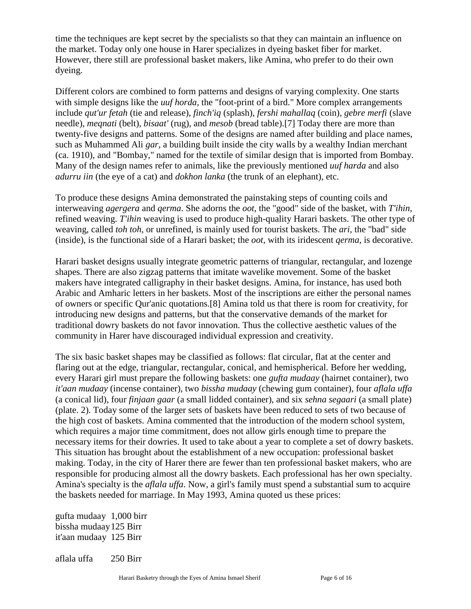time the techniques are kept secret by the specialists so that they can maintain an influence on the market. Today only one house in Harer specializes in dyeing basket fiber for market. However, there still are professional basket makers, like Amina, who prefer to do their own dyeing.

Different colors are combined to form patterns and designs of varying complexity. One starts with simple designs like the *uuf horda,* the "foot-print of a bird." More complex arrangements include *qut'ur fetah* (tie and release), *finch'iq* (splash), *fershi mahallaq* (coin), *gebre merfi* (slave needle), *meqnati* (belt), *bisaat'* (rug), and *mesob* (bread table).[7] Today there are more than twenty-five designs and patterns. Some of the designs are named after building and place names, such as Muhammed Ali *gar*, a building built inside the city walls by a wealthy Indian merchant (ca. 1910), and "Bombay," named for the textile of similar design that is imported from Bombay. Many of the design names refer to animals, like the previously mentioned *uuf harda* and also *adurru iin* (the eye of a cat) and *dokhon lanka* (the trunk of an elephant), etc.

To produce these designs Amina demonstrated the painstaking steps of counting coils and interweaving *agergera* and *qerma*. She adorns the *oot*, the "good" side of the basket, with *T'ihin,* refined weaving. *T'ihin* weaving is used to produce high-quality Harari baskets. The other type of weaving, called *toh toh*, or unrefined, is mainly used for tourist baskets. The *ari*, the "bad" side (inside), is the functional side of a Harari basket; the *oot*, with its iridescent *qerma*, is decorative.

Harari basket designs usually integrate geometric patterns of triangular, rectangular, and lozenge shapes. There are also zigzag patterns that imitate wavelike movement. Some of the basket makers have integrated calligraphy in their basket designs. Amina, for instance, has used both Arabic and Amharic letters in her baskets. Most of the inscriptions are either the personal names of owners or specific Qur'anic quotations.[8] Amina told us that there is room for creativity, for introducing new designs and patterns, but that the conservative demands of the market for traditional dowry baskets do not favor innovation. Thus the collective aesthetic values of the community in Harer have discouraged individual expression and creativity.

The six basic basket shapes may be classified as follows: flat circular, flat at the center and flaring out at the edge, triangular, rectangular, conical, and hemispherical. Before her wedding, every Harari girl must prepare the following baskets: one *gufta mudaay* (hairnet container), two *it'aan mudaay* (incense container), two *bissha mudaay* (chewing gum container), four *aflala uffa* (a conical lid), four *finjaan gaar* (a small lidded container), and six *sehna segaari* (a small plate) (plate. 2). Today some of the larger sets of baskets have been reduced to sets of two because of the high cost of baskets. Amina commented that the introduction of the modern school system, which requires a major time commitment, does not allow girls enough time to prepare the necessary items for their dowries. It used to take about a year to complete a set of dowry baskets. This situation has brought about the establishment of a new occupation: professional basket making. Today, in the city of Harer there are fewer than ten professional basket makers, who are responsible for producing almost all the dowry baskets. Each professional has her own specialty. Amina's specialty is the *aflala uffa*. Now, a girl's family must spend a substantial sum to acquire the baskets needed for marriage. In May 1993, Amina quoted us these prices:

gufta mudaay 1,000 birr bissha mudaay125 Birr it'aan mudaay 125 Birr

aflala uffa 250 Birr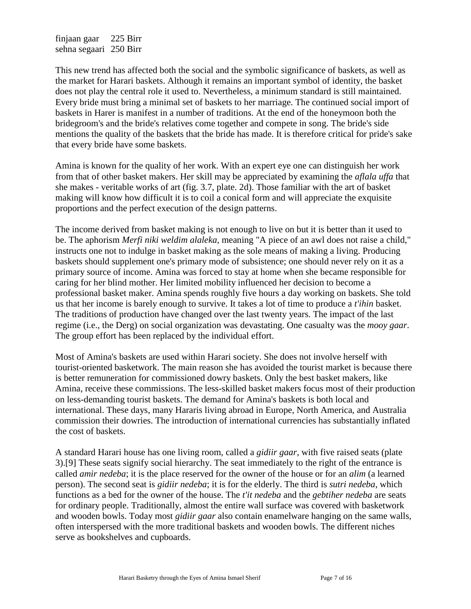finjaan gaar 225 Birr sehna segaari 250 Birr

This new trend has affected both the social and the symbolic significance of baskets, as well as the market for Harari baskets. Although it remains an important symbol of identity, the basket does not play the central role it used to. Nevertheless, a minimum standard is still maintained. Every bride must bring a minimal set of baskets to her marriage. The continued social import of baskets in Harer is manifest in a number of traditions. At the end of the honeymoon both the bridegroom's and the bride's relatives come together and compete in song. The bride's side mentions the quality of the baskets that the bride has made. It is therefore critical for pride's sake that every bride have some baskets.

Amina is known for the quality of her work. With an expert eye one can distinguish her work from that of other basket makers. Her skill may be appreciated by examining the *aflala uffa* that she makes - veritable works of art (fig. 3.7, plate. 2d). Those familiar with the art of basket making will know how difficult it is to coil a conical form and will appreciate the exquisite proportions and the perfect execution of the design patterns.

The income derived from basket making is not enough to live on but it is better than it used to be. The aphorism *Merfi niki weldim alaleka*, meaning "A piece of an awl does not raise a child," instructs one not to indulge in basket making as the sole means of making a living. Producing baskets should supplement one's primary mode of subsistence; one should never rely on it as a primary source of income. Amina was forced to stay at home when she became responsible for caring for her blind mother. Her limited mobility influenced her decision to become a professional basket maker. Amina spends roughly five hours a day working on baskets. She told us that her income is barely enough to survive. It takes a lot of time to produce a *t'ihin* basket. The traditions of production have changed over the last twenty years. The impact of the last regime (i.e., the Derg) on social organization was devastating. One casualty was the *mooy gaar*. The group effort has been replaced by the individual effort.

Most of Amina's baskets are used within Harari society. She does not involve herself with tourist-oriented basketwork. The main reason she has avoided the tourist market is because there is better remuneration for commissioned dowry baskets. Only the best basket makers, like Amina, receive these commissions. The less-skilled basket makers focus most of their production on less-demanding tourist baskets. The demand for Amina's baskets is both local and international. These days, many Hararis living abroad in Europe, North America, and Australia commission their dowries. The introduction of international currencies has substantially inflated the cost of baskets.

A standard Harari house has one living room, called a *gidiir gaar*, with five raised seats (plate 3).[9] These seats signify social hierarchy. The seat immediately to the right of the entrance is called *amir nedeba*; it is the place reserved for the owner of the house or for an *alim* (a learned person). The second seat is *gidiir nedeba*; it is for the elderly. The third is *sutri nedeba*, which functions as a bed for the owner of the house. The *t'it nedeba* and the *gebtiher nedeba* are seats for ordinary people. Traditionally, almost the entire wall surface was covered with basketwork and wooden bowls. Today most *gidiir gaar* also contain enamelware hanging on the same walls, often interspersed with the more traditional baskets and wooden bowls. The different niches serve as bookshelves and cupboards.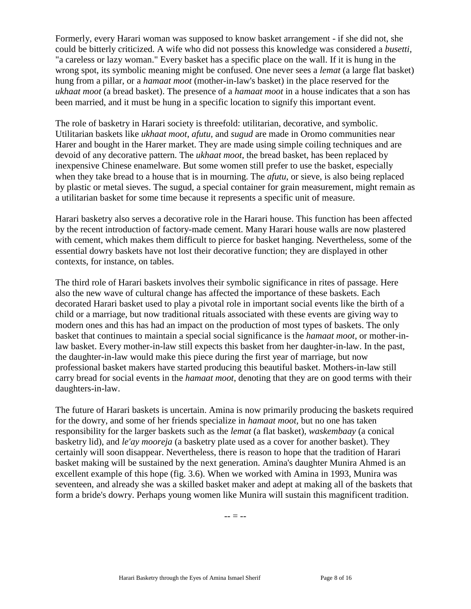Formerly, every Harari woman was supposed to know basket arrangement - if she did not, she could be bitterly criticized. A wife who did not possess this knowledge was considered a *busetti,* "a careless or lazy woman." Every basket has a specific place on the wall. If it is hung in the wrong spot, its symbolic meaning might be confused. One never sees a *lemat* (a large flat basket) hung from a pillar, or a *hamaat moot* (mother-in-law's basket) in the place reserved for the *ukhaat moot* (a bread basket). The presence of a *hamaat moot* in a house indicates that a son has been married, and it must be hung in a specific location to signify this important event.

The role of basketry in Harari society is threefold: utilitarian, decorative, and symbolic. Utilitarian baskets like *ukhaat moot*, *afutu,* and *sugud* are made in Oromo communities near Harer and bought in the Harer market. They are made using simple coiling techniques and are devoid of any decorative pattern. The *ukhaat moot*, the bread basket, has been replaced by inexpensive Chinese enamelware. But some women still prefer to use the basket, especially when they take bread to a house that is in mourning. The *afutu*, or sieve, is also being replaced by plastic or metal sieves. The sugud, a special container for grain measurement, might remain as a utilitarian basket for some time because it represents a specific unit of measure.

Harari basketry also serves a decorative role in the Harari house. This function has been affected by the recent introduction of factory-made cement. Many Harari house walls are now plastered with cement, which makes them difficult to pierce for basket hanging. Nevertheless, some of the essential dowry baskets have not lost their decorative function; they are displayed in other contexts, for instance, on tables.

The third role of Harari baskets involves their symbolic significance in rites of passage. Here also the new wave of cultural change has affected the importance of these baskets. Each decorated Harari basket used to play a pivotal role in important social events like the birth of a child or a marriage, but now traditional rituals associated with these events are giving way to modern ones and this has had an impact on the production of most types of baskets. The only basket that continues to maintain a special social significance is the *hamaat moot*, or mother-inlaw basket. Every mother-in-law still expects this basket from her daughter-in-law. In the past, the daughter-in-law would make this piece during the first year of marriage, but now professional basket makers have started producing this beautiful basket. Mothers-in-law still carry bread for social events in the *hamaat moot*, denoting that they are on good terms with their daughters-in-law.

The future of Harari baskets is uncertain. Amina is now primarily producing the baskets required for the dowry, and some of her friends specialize in *hamaat moot,* but no one has taken responsibility for the larger baskets such as the *lemat* (a flat basket), *waskembaay* (a conical basketry lid), and *le'ay mooreja* (a basketry plate used as a cover for another basket). They certainly will soon disappear. Nevertheless, there is reason to hope that the tradition of Harari basket making will be sustained by the next generation. Amina's daughter Munira Ahmed is an excellent example of this hope (fig. 3.6). When we worked with Amina in 1993, Munira was seventeen, and already she was a skilled basket maker and adept at making all of the baskets that form a bride's dowry. Perhaps young women like Munira will sustain this magnificent tradition.

 $=$   $-$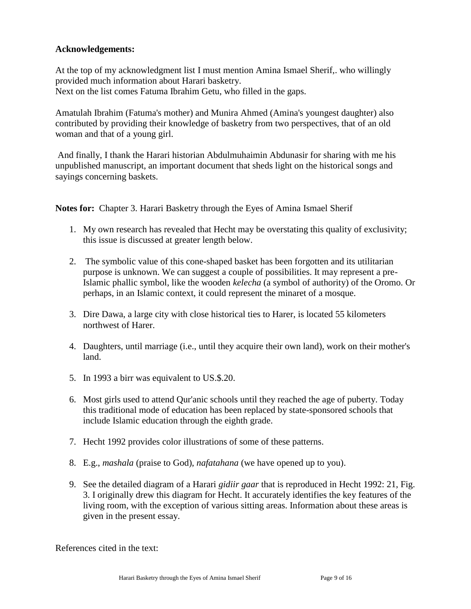## **Acknowledgements:**

At the top of my acknowledgment list I must mention Amina Ismael Sherif,. who willingly provided much information about Harari basketry. Next on the list comes Fatuma Ibrahim Getu, who filled in the gaps.

Amatulah Ibrahim (Fatuma's mother) and Munira Ahmed (Amina's youngest daughter) also contributed by providing their knowledge of basketry from two perspectives, that of an old woman and that of a young girl.

And finally, I thank the Harari historian Abdulmuhaimin Abdunasir for sharing with me his unpublished manuscript, an important document that sheds light on the historical songs and sayings concerning baskets.

**Notes for:** Chapter 3. Harari Basketry through the Eyes of Amina Ismael Sherif

- 1. My own research has revealed that Hecht may be overstating this quality of exclusivity; this issue is discussed at greater length below.
- 2. The symbolic value of this cone-shaped basket has been forgotten and its utilitarian purpose is unknown. We can suggest a couple of possibilities. It may represent a pre-Islamic phallic symbol, like the wooden *kelecha* (a symbol of authority) of the Oromo. Or perhaps, in an Islamic context, it could represent the minaret of a mosque.
- 3. Dire Dawa, a large city with close historical ties to Harer, is located 55 kilometers northwest of Harer.
- 4. Daughters, until marriage (i.e., until they acquire their own land), work on their mother's land.
- 5. In 1993 a birr was equivalent to US.\$.20.
- 6. Most girls used to attend Qur'anic schools until they reached the age of puberty. Today this traditional mode of education has been replaced by state-sponsored schools that include Islamic education through the eighth grade.
- 7. Hecht 1992 provides color illustrations of some of these patterns.
- 8. E.g., *mashala* (praise to God), *nafatahana* (we have opened up to you).
- 9. See the detailed diagram of a Harari *gidiir gaar* that is reproduced in Hecht 1992: 21, Fig. 3. I originally drew this diagram for Hecht. It accurately identifies the key features of the living room, with the exception of various sitting areas. Information about these areas is given in the present essay.

References cited in the text: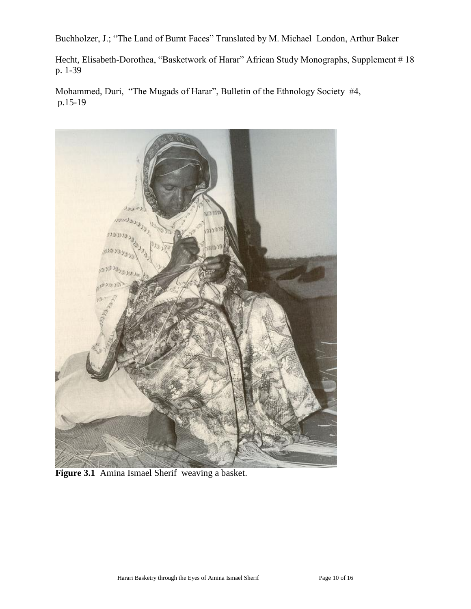Buchholzer, J.; "The Land of Burnt Faces" Translated by M. Michael London, Arthur Baker

Hecht, Elisabeth-Dorothea, "Basketwork of Harar" African Study Monographs, Supplement # 18 p. 1-39

Mohammed, Duri, "The Mugads of Harar", Bulletin of the Ethnology Society #4, p.15-19



**Figure 3.1** Amina Ismael Sherif weaving a basket.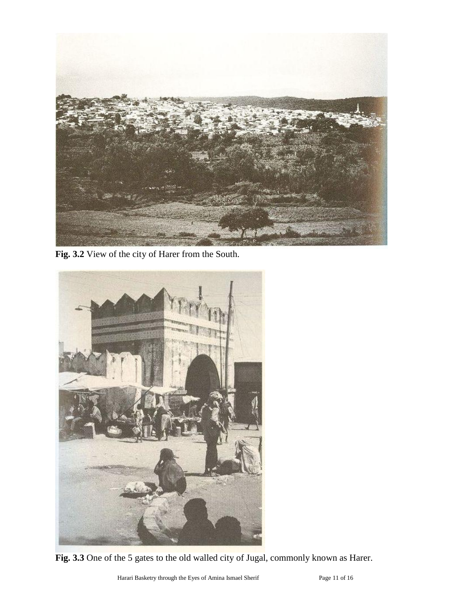

**Fig. 3.2** View of the city of Harer from the South.



**Fig. 3.3** One of the 5 gates to the old walled city of Jugal, commonly known as Harer.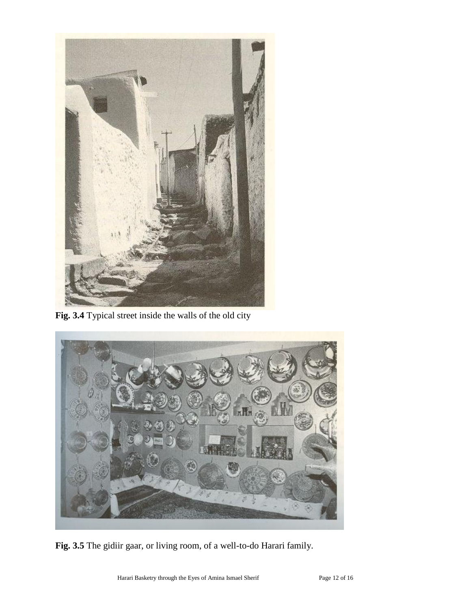

**Fig. 3.4** Typical street inside the walls of the old city



**Fig. 3.5** The gidiir gaar, or living room, of a well-to-do Harari family.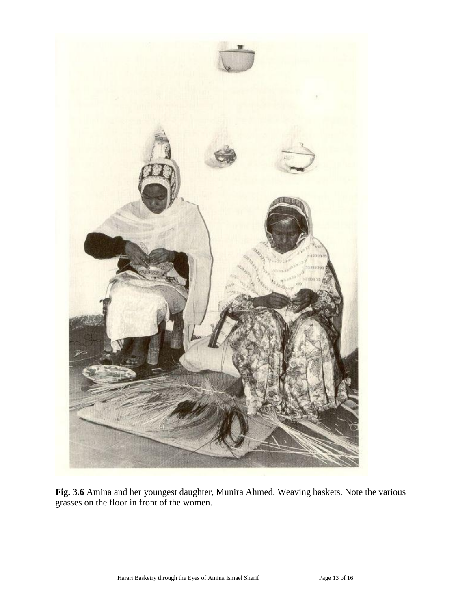

**Fig. 3.6** Amina and her youngest daughter, Munira Ahmed. Weaving baskets. Note the various grasses on the floor in front of the women.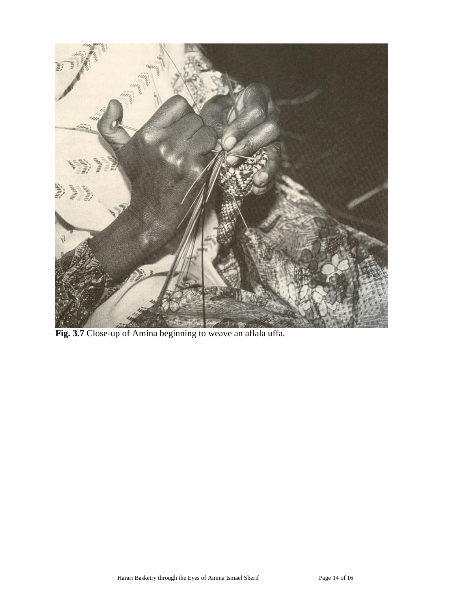

**Fig. 3.7** Close-up of Amina beginning to weave an aflala uffa.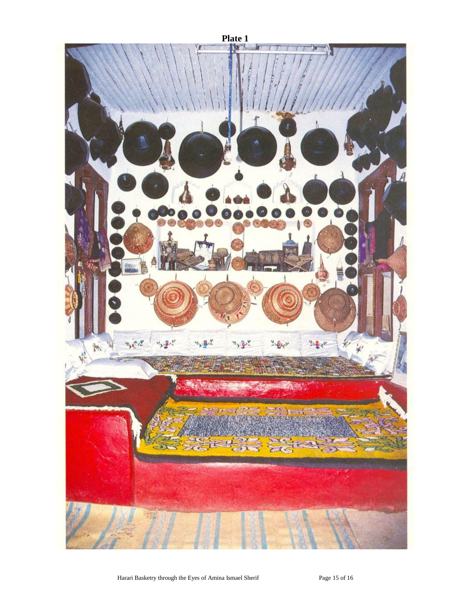